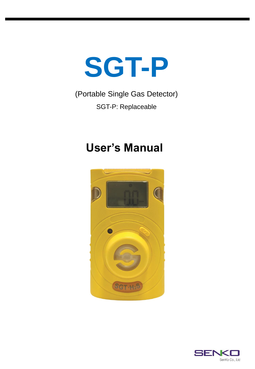

## (Portable Single Gas Detector) SGT-P: Replaceable

# **User's Manual**



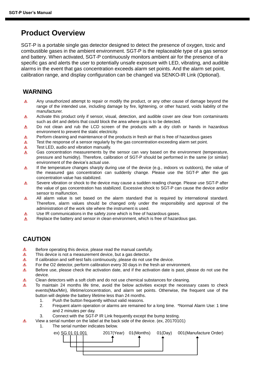### **Product Overview**

SGT-P is a portable single gas detector designed to detect the presence of oxygen, toxic and combustible gases in the ambient environment. SGT-P is the replaceable type of a gas sensor and battery. When activated, SGT-P continuously monitors ambient air for the presence of a specific gas and alerts the user to potentially unsafe exposure with LED, vibrating, and audible alarms in the event that gas concentration exceeds alarm set points. And the alarm set point, calibration range, and display configuration can be changed via SENKO-IR Link (Optional).

#### **WARNING**

- Any unauthorized attempt to repair or modify the product, or any other cause of damage beyond the  $\Lambda$ range of the intended use, including damage by fire, lightening, or other hazard, voids liability of the manufacturer.
- Activate this product only if sensor, visual, detection, and audible cover are clear from contaminants  $\Delta$ such as dirt and debris that could block the area where gas is to be detected.
- $\Delta$ Do not clean and rub the LCD screen of the products with a dry cloth or hands in hazardous environment to prevent the static electricity.
- Perform cleaning and maintenance of the products in fresh air that is free of hazardous gases Λ
- Test the response of a sensor regularly by the gas concentration exceeding alarm set point. Δ
- Test LED, audio and vibration manually. Δ
- $\Lambda$ Gas concentration measurements by the sensor can vary based on the environment (temperature, pressure and humidity). Therefore, calibration of SGT-P should be performed in the same (or similar) environment of the device's actual use.
- If the temperature changes sharply during use of the device (e.g., indoors vs outdoors), the value of Δ the measured gas concentration can suddenly change. Please use the SGT-P after the gas concentration value has stabilized.
- Severe vibration or shock to the device may cause a sudden reading change. Please use SGT-P after  $\Delta$ the value of gas concentration has stabilized. Excessive shock to SGT-P can cause the device and/or sensor to malfunction.
- All alarm value is set based on the alarm standard that is required by international standard. Λ Therefore, alarm values should be changed only under the responsibility and approval of the administration of the work site where the instrument is used.
- Λ Use IR communications in the safety zone which is free of hazardous gases.
- Δ Replace the battery and sensor in clean environment, which is free of hazardous gas.

#### **CAUTION**

Δ

- Δ Before operating this device, please read the manual carefully.
- Δ This device is not a measurement device, but a gas detector.
- $\Delta$ If calibration and self-test fails continuously, please do not use the device.
- Δ For the O2 detector, perform calibration every 30 days in the fresh air environment.
- Λ Before use, please check the activation date, and if the activation date is past, please do not use the device.
- Λ Clean detectors with a soft cloth and do not use chemical substances for cleaning.
- Δ To maintain 24 months life time, avoid the below activities except the necessary cases to check events(Max/Min), lifetime/concentration, and alarm set points. Otherwise, the frequent use of the button will deplete the battery lifetime less than 24 months.
	- 1. Push the button frequently without valid reasons.
	- 2. Frequent alarm operation or alarms are remained for a long time. \*Normal Alarm Use: 1 time and 2 minutes per day.
	- 3. Connect with the SGT-P IR Link frequently except the bump testing.
	- View a serial number on the label at the back side of the device. (ex, 20170101)
		- 1. The serial number indicates below.

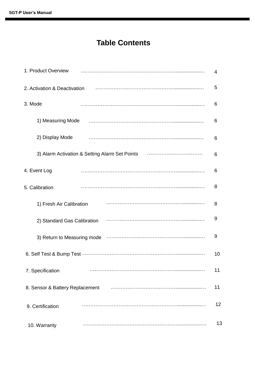## **Table Contents**

| 1. Product Overview                            | 4  |
|------------------------------------------------|----|
| 2. Activation & Deactivation                   | 5  |
| 3. Mode                                        | 6  |
| 1) Measuring Mode                              | 6  |
| 2) Display Mode                                | 6  |
| 3) Alarm Activation & Setting Alarm Set Points | 6  |
| 4. Event Log                                   | 6  |
| 5. Calibration                                 | 8  |
| 1) Fresh Air Calibration                       | 8  |
| 2) Standard Gas Calibration                    | 9  |
| 3) Return to Measuring mode                    | 9  |
|                                                | 10 |
| 7. Specification                               | 11 |
| 8. Sensor & Battery Replacement                | 11 |
| 9. Certification                               | 12 |
| 10. Warranty                                   | 13 |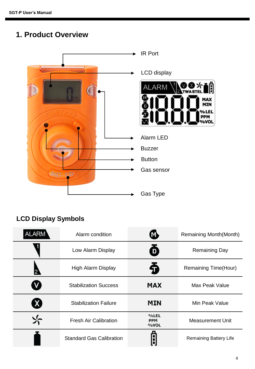## **1. Product Overview**



### **LCD Display Symbols**

| <b>ALARM</b> | Alarm condition                            | $\bf M$                    | <b>Remaining Month(Month)</b> |  |  |  |
|--------------|--------------------------------------------|----------------------------|-------------------------------|--|--|--|
|              | Low Alarm Display                          | Ď                          | <b>Remaining Day</b>          |  |  |  |
|              | <b>High Alarm Display</b>                  | 令                          | <b>Remaining Time(Hour)</b>   |  |  |  |
|              | <b>Stabilization Success</b>               | <b>MAX</b>                 | Max Peak Value                |  |  |  |
| $\mathbf{X}$ | <b>MIN</b><br><b>Stabilization Failure</b> |                            | Min Peak Value                |  |  |  |
| √~           | <b>Fresh Air Calibration</b>               | %LEL<br><b>PPM</b><br>%VOL | Measurement Unit              |  |  |  |
|              | <b>Standard Gas Calibration</b>            |                            | <b>Remaining Battery Life</b> |  |  |  |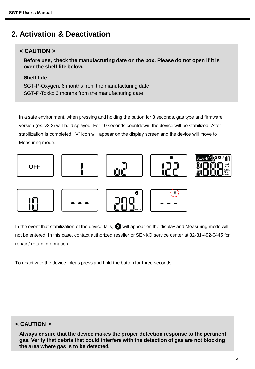### **2. Activation & Deactivation**

#### **< CAUTION >**

**Before use, check the manufacturing date on the box. Please do not open if it is over the shelf life below.**

#### **Shelf Life**

SGT-P-Oxygen: 6 months from the manufacturing date SGT-P-Toxic: 6 months from the manufacturing date

In a safe environment, when pressing and holding the button for 3 seconds, gas type and firmware version (ex. v2.2) will be displayed. For 10 seconds countdown, the device will be stabilized. After stabilization is completed, "V" icon will appear on the display screen and the device will move to Measuring mode.



















In the event that stabilization of the device fails,  $\bullet$  will appear on the display and Measuring mode will not be entered. In this case, contact authorized reseller or SENKO service center at 82-31-492-0445 for repair / return information.

To deactivate the device, pleas press and hold the button for three seconds.

#### **< CAUTION >**

**Always ensure that the device makes the proper detection response to the pertinent gas. Verify that debris that could interfere with the detection of gas are not blocking the area where gas is to be detected.**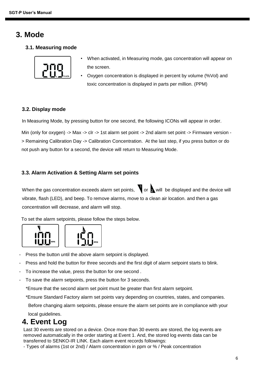### **3. Mode**

**3.1. Measuring mode**



- When activated, in Measuring mode, gas concentration will appear on the screen.
- Oxygen concentration is displayed in percent by volume (%Vol) and toxic concentration is displayed in parts per million. (PPM)

#### **3.2. Display mode**

In Measuring Mode, by pressing button for one second, the following ICONs will appear in order.

Min (only for oxygen) -> Max -> clr -> 1st alarm set point -> 2nd alarm set point -> Firmware version -> Remaining Calibration Day -> Calibration Concentration. At the last step, if you press button or do not push any button for a second, the device will return to Measuring Mode.

#### **3.3. Alarm Activation & Setting Alarm set points**

When the gas concentration exceeds alarm set points,  $\bigvee$  or  $\bigtriangleup$  will be displayed and the device will vibrate, flash (LED), and beep. To remove alarms, move to a clean air location. and then a gas concentration will decrease, and alarm will stop.

To set the alarm setpoints, please follow the steps below.





- Press the button until the above alarm setpoint is displayed.
- Press and hold the button for three seconds and the first digit of alarm setpoint starts to blink.
- To increase the value, press the button for one second.
- To save the alarm setpoints, press the button for 3 seconds.

\*Ensure that the second alarm set point must be greater than first alarm setpoint.

\*Ensure Standard Factory alarm set points vary depending on countries, states, and companies.

Before changing alarm setpoints, please ensure the alarm set points are in compliance with your

local guidelines.

### **4. Event Log**

Last 30 events are stored on a device. Once more than 30 events are stored, the log events are removed automatically in the order starting at Event 1. And, the stored log events data can be transferred to SENKO-IR LINK. Each alarm event records followings:

- Types of alarms (1st or 2nd) / Alarm concentration in ppm or % / Peak concentration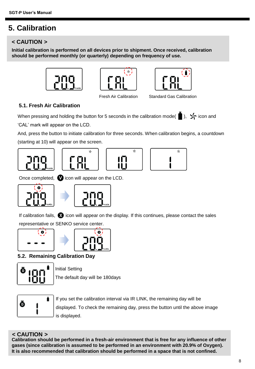### **5. Calibration**

#### **< CAUTION >**

**Initial calibration is performed on all devices prior to shipment. Once received, calibration should be performed monthly (or quarterly) depending on frequency of use.**







Fresh Air Calibration Standard Gas Calibration

×

#### **5.1. Fresh Air Calibration**

When pressing and holding the button for 5 seconds in the calibration mode( $\blacksquare$ ),  $\blacktriangleright$  icon and 'CAL' mark will appear on the LCD.

And, press the button to initiate calibration for three seconds. When calibration begins, a countdown (starting at 10) will appear on the screen.







Once completed,  $\bullet$  icon will appear on the LCD.





If calibration fails,  $\bullet$  icon will appear on the display. If this continues, please contact the sales representative or SENKO service center.





**5.2. Remaining Calibration Day**



Initial Setting

The default day will be 180days



If you set the calibration interval via IR LINK, the remaining day will be displayed. To check the remaining day, press the button until the above image is displayed.

#### **< CAUTION >**

**Calibration should be performed in a fresh-air environment that is free for any influence of other gases (since calibration is assumed to be performed in an environment with 20.9% of Oxygen). It is also recommended that calibration should be performed in a space that is not confined.**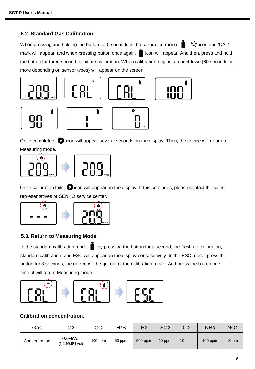#### **5.2. Standard Gas Calibration**

When pressing and holding the button for 5 seconds in the calibration mode  $\bullet$ ,  $\cdot$  icon and 'CAL' mark will appear, and when pressing button once again,  $\blacksquare$  icon will appear. And then, press and hold the button for three second to initiate calibration. When calibration begins, a countdown (60 seconds or more depending on sensor types) will appear on the screen.



Once completed,  $\bullet$  icon will appear several seconds on the display. Then, the device will return to Measuring mode.



Once calibration fails,  $\bullet$  icon will appear on the display. If this continues, please contact the sales representatives or SENKO service center.



#### **5.3. Return to Measuring Mode.**

In the standard calibration mode  $\blacksquare$ , by pressing the button for a second, the fresh air calibration, standard calibration, and ESC will appear on the display consecutively. In the ESC mode, press the button for 3 seconds, the device will be get out of the calibration mode. And press the button one time, it will return Measuring mode.



#### **Calibration concentration.**

| Gas           | O2                          | CO        | H <sub>2</sub> S | H <sub>2</sub> | SO <sub>2</sub> | C <sub>2</sub> | NH <sub>3</sub> | NO <sub>2</sub> |
|---------------|-----------------------------|-----------|------------------|----------------|-----------------|----------------|-----------------|-----------------|
| Concentration | $0.0%$ Vol<br>(N2:99.9%Vol) | $100$ ppm | 50 ppm           | 500 ppm        | 10 ppm          | 10 ppm         | $100$ ppm       | $10 \text{ pm}$ |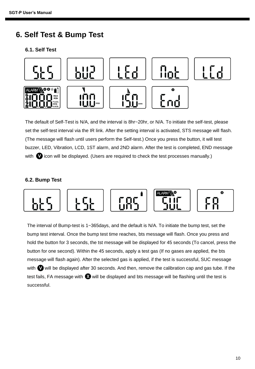### **6. Self Test & Bump Test**

#### **6.1. Self Test**



The default of Self-Test is N/A, and the interval is 8hr~20hr, or N/A. To initiate the self-test, please set the self-test interval via the IR link. After the setting interval is activated, STS message will flash. (The message will flash until users perform the Self-test.) Once you press the button, it will test buzzer, LED, Vibration, LCD, 1ST alarm, and 2ND alarm. After the test is completed, END message with  $\bullet$  icon will be displayed. (Users are required to check the test processes manually.)

#### **6.2. Bump Test**



The interval of Bump-test is 1~365days, and the default is N/A. To initiate the bump test, set the bump test interval. Once the bump test time reaches, bts message will flash. Once you press and hold the button for 3 seconds, the tst message will be displayed for 45 seconds (To cancel, press the button for one second). Within the 45 seconds, apply a test gas (If no gases are applied, the bts message will flash again). After the selected gas is applied, if the test is successful, SUC message with  $\bullet$  will be displayed after 30 seconds. And then, remove the calibration cap and gas tube. If the test fails, FA message with  $\bullet$  will be displayed and bts message will be flashing until the test is successful.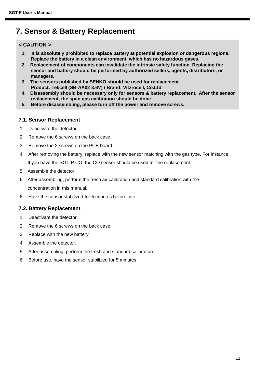### **7. Sensor & Battery Replacement**

#### **< CAUTION >**

- **1. It is absolutely prohibited to replace battery at potential explosion or dangerous regions. Replace the battery in a clean environment, which has no hazardous gases.**
- **2. Replacement of components can invalidate the intrinsic safety function. Replacing the sensor and battery should be performed by authorized sellers, agents, distributors, or managers.**
- **3. The sensors published by SENKO should be used for replacement. Product: Tekcell (SB-AA02 3.6V) / Brand: Vitzrocell, Co.Ltd**
- **4. Disassembly should be necessary only for sensors & battery replacement. After the sensor replacement, the span gas calibration should be done.**
- **5. Before disassembling, please turn off the power and remove screws.**

#### **7.1. Sensor Replacement**

- 1. Deactivate the detector
- 2. Remove the 6 screws on the back case.
- 3. Remove the 2 screws on the PCB board.
- 4. After removing the battery, replace with the new sensor matching with the gas type. For instance, If you have the SGT-P CO, the CO sensor should be used for the replacement.
- 5. Assemble the detector.
- 6. After assembling, perform the fresh air calibration and standard calibration with the concentration in this manual.
- 6. Have the sensor stabilized for 5 minutes before use.

#### **7.2. Battery Replacement**

- 1. Deactivate the detector
- 2. Remove the 6 screws on the back case.
- 3. Replace with the new battery.
- 4. Assemble the detector.
- 5. After assembling, perform the fresh and standard calibration.
- 6. Before use, have the sensor stabilized for 5 minutes.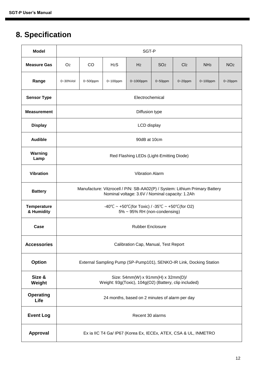## **8. Specification**

| <b>Model</b>                     | SGT-P                                                                                                                          |                 |                  |                |                 |                 |                 |                 |  |
|----------------------------------|--------------------------------------------------------------------------------------------------------------------------------|-----------------|------------------|----------------|-----------------|-----------------|-----------------|-----------------|--|
| <b>Measure Gas</b>               | O <sub>2</sub>                                                                                                                 | <b>CO</b>       | H <sub>2</sub> S | H <sub>2</sub> | SO <sub>2</sub> | Cl <sub>2</sub> | NH <sub>3</sub> | NO <sub>2</sub> |  |
| Range                            | 0~30%Vol                                                                                                                       | 0~500ppm        | 0~100ppm         | 0~1000ppm      | $0 - 50$ ppm    | $0 - 20$ ppm    | $0 - 100$ ppm   | $0 - 20$ ppm    |  |
| <b>Sensor Type</b>               |                                                                                                                                | Electrochemical |                  |                |                 |                 |                 |                 |  |
| <b>Measurement</b>               | Diffusion type                                                                                                                 |                 |                  |                |                 |                 |                 |                 |  |
| <b>Display</b>                   | LCD display                                                                                                                    |                 |                  |                |                 |                 |                 |                 |  |
| <b>Audible</b>                   | 90dB at 10cm                                                                                                                   |                 |                  |                |                 |                 |                 |                 |  |
| Warning<br>Lamp                  | Red Flashing LEDs (Light-Emitting Diode)                                                                                       |                 |                  |                |                 |                 |                 |                 |  |
| <b>Vibration</b>                 | <b>Vibration Alarm</b>                                                                                                         |                 |                  |                |                 |                 |                 |                 |  |
| <b>Battery</b>                   | Manufacture: Vitzrocell / P/N: SB-AA02(P) / System: Lithium Primary Battery<br>Nominal voltage: 3.6V / Nominal capacity: 1.2Ah |                 |                  |                |                 |                 |                 |                 |  |
| <b>Temperature</b><br>& Humidity | -40°C ~ +50°C(for Toxic) / -35°C ~ +50°C(for O2)<br>5% ~ 95% RH (non-condensing)                                               |                 |                  |                |                 |                 |                 |                 |  |
| Case                             | <b>Rubber Enclosure</b>                                                                                                        |                 |                  |                |                 |                 |                 |                 |  |
| <b>Accessories</b>               | Calibration Cap, Manual, Test Report                                                                                           |                 |                  |                |                 |                 |                 |                 |  |
| <b>Option</b>                    | External Sampling Pump (SP-Pump101), SENKO-IR Link, Docking Station                                                            |                 |                  |                |                 |                 |                 |                 |  |
| Size &<br>Weight                 | Size: 54mm(W) x 91mm(H) x 32mm(D)/<br>Weight: 93g(Toxic), 104g(O2) (Battery, clip included)                                    |                 |                  |                |                 |                 |                 |                 |  |
| <b>Operating</b><br>Life         | 24 months, based on 2 minutes of alarm per day                                                                                 |                 |                  |                |                 |                 |                 |                 |  |
| <b>Event Log</b>                 | Recent 30 alarms                                                                                                               |                 |                  |                |                 |                 |                 |                 |  |
| Approval                         | Ex ia IIC T4 Ga/ IP67 (Korea Ex, IECEx, ATEX, CSA & UL, INMETRO                                                                |                 |                  |                |                 |                 |                 |                 |  |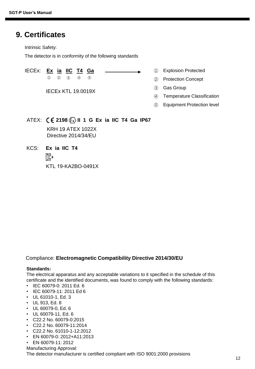### **9. Certificates**

Intrinsic Safety:

The detector is in conformity of the following standards

#### IECEx: **Ex ia IIC T4 Ga**

① ② ③ ④ ⑤

IECEx KTL 19.0019X

- Explosion Protected ①
- Protection Concept ②
- Gas Group ③
- Temperature Classification ④
- Equipment Protection level ⑤

#### ATEX: **2198 II 1 G Ex ia IIC T4 Ga IP67** KRH 19 ATEX 1022X Directive 2014/34/EU

KCS: **Ex ia IIC T4**  $\mathbb{C}^s$ KTL 19-KA2BO-0491X

#### Compliance: **Electromagnetic Compatibility Directive 2014/30/EU**

#### **Standards:**

The electrical apparatus and any acceptable variations to it specified in the schedule of this certificate and the identified documents, was found to comply with the following standards:

- IEC 60079-0: 2011 Ed. 6
- IEC 60079-11: 2011 Ed 6
- UL 61010-1, Ed. 3
- UL 913, Ed. 8
- UL 60079-0, Ed. 6
- UL 60079-11, Ed. 6
- C22.2 No. 60079-0:2015
- C22.2 No. 60079-11:2014
- C22.2 No. 61010-1-12:2012
- EN 60079-0: 2012+A11:2013
- EN 60079-11: 2012
- Manufacturing Approval:

The detector manufacturer is certified compliant with ISO 9001:2000 provisions